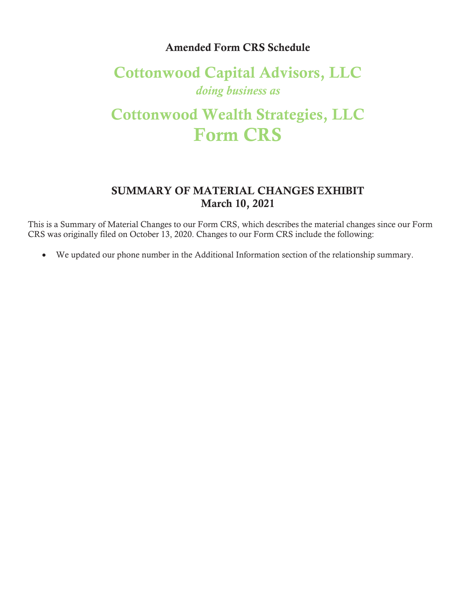## Amended Form CRS Schedule

## Cottonwood Capital Advisors, LLC *doing business as*

## Cottonwood Wealth Strategies, LLC Form CRS

## SUMMARY OF MATERIAL CHANGES EXHIBIT March 10, 2021

This is a Summary of Material Changes to our Form CRS, which describes the material changes since our Form CRS was originally filed on October 13, 2020. Changes to our Form CRS include the following:

x We updated our phone number in the Additional Information section of the relationship summary.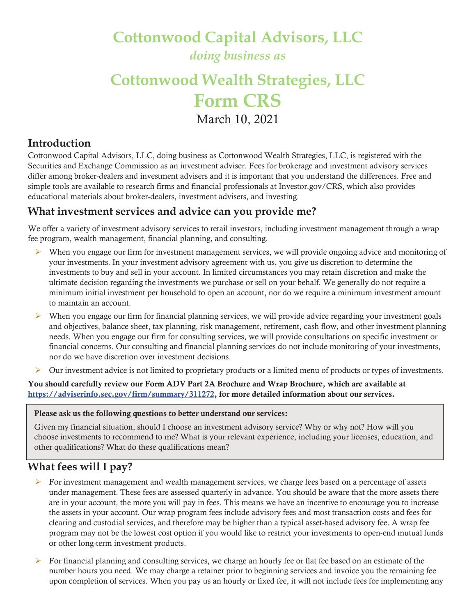**Cottonwood Capital Advisors, LLC** 

*doing business as* 

# **Cottonwood Wealth Strategies, LLC Form CRS**

March 10, 2021

## **Introduction**

Cottonwood Capital Advisors, LLC, doing business as Cottonwood Wealth Strategies, LLC, is registered with the Securities and Exchange Commission as an investment adviser. Fees for brokerage and investment advisory services differ among broker-dealers and investment advisers and it is important that you understand the differences. Free and simple tools are available to research firms and financial professionals at Investor.gov/CRS, which also provides educational materials about broker-dealers, investment advisers, and investing.

## **What investment services and advice can you provide me?**

We offer a variety of investment advisory services to retail investors, including investment management through a wrap fee program, wealth management, financial planning, and consulting.

- $\triangleright$  When you engage our firm for investment management services, we will provide ongoing advice and monitoring of your investments. In your investment advisory agreement with us, you give us discretion to determine the investments to buy and sell in your account. In limited circumstances you may retain discretion and make the ultimate decision regarding the investments we purchase or sell on your behalf. We generally do not require a minimum initial investment per household to open an account, nor do we require a minimum investment amount to maintain an account.
- $\triangleright$  When you engage our firm for financial planning services, we will provide advice regarding your investment goals and objectives, balance sheet, tax planning, risk management, retirement, cash flow, and other investment planning needs. When you engage our firm for consulting services, we will provide consultations on specific investment or financial concerns. Our consulting and financial planning services do not include monitoring of your investments, nor do we have discretion over investment decisions.
- ¾ Our investment advice is not limited to proprietary products or a limited menu of products or types of investments.

You should carefully review our Form ADV Part 2A Brochure and Wrap Brochure, which are available at https://adviserinfo.sec.gov/firm/summary/311272, for more detailed information about our services.

#### Please ask us the following questions to better understand our services:

Given my financial situation, should I choose an investment advisory service? Why or why not? How will you choose investments to recommend to me? What is your relevant experience, including your licenses, education, and other qualifications? What do these qualifications mean?

## **What fees will I pay?**

- $\triangleright$  For investment management and wealth management services, we charge fees based on a percentage of assets under management. These fees are assessed quarterly in advance. You should be aware that the more assets there are in your account, the more you will pay in fees. This means we have an incentive to encourage you to increase the assets in your account. Our wrap program fees include advisory fees and most transaction costs and fees for clearing and custodial services, and therefore may be higher than a typical asset-based advisory fee. A wrap fee program may not be the lowest cost option if you would like to restrict your investments to open-end mutual funds or other long-term investment products.
- $\triangleright$  For financial planning and consulting services, we charge an hourly fee or flat fee based on an estimate of the number hours you need. We may charge a retainer prior to beginning services and invoice you the remaining fee upon completion of services. When you pay us an hourly or fixed fee, it will not include fees for implementing any